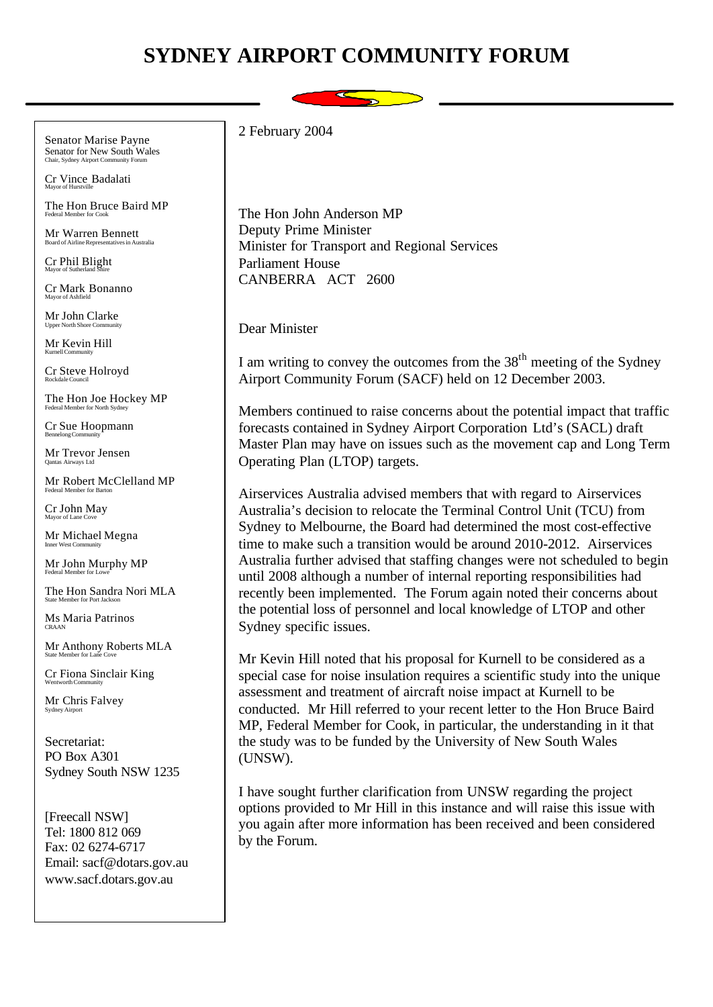## **SYDNEY AIRPORT COMMUNITY FORUM**



Senator Marise Payne Senator for New South Wales Chair, Sydney Airport Community Forum

Cr Vince Badalati Mayor of Hurstville

The Hon Bruce Baird MP Federal Member for Cook

Mr Warren Bennett Board of Airline Representatives in Australia

Cr Phil Blight Mayor of Sutherland Shire

Cr Mark Bonanno Mayor of Ashfield

Mr John Clarke Upper North Shore Community

Mr Kevin Hill Kurnell Community

Cr Steve Holroyd Rockdale Council

The Hon Joe Hockey MP Federal Member for North Syd

Cr Sue Hoopmann Bennelong Community

Mr Trevor Jensen Qantas Airways Ltd

Mr Robert McClelland MP Federal Member for Barton

Cr John May Mayor of Lane Cove

Mr Michael Megna Inner West Community

Mr John Murphy MP Federal Member for Lowe

The Hon Sandra Nori MLA

Ms Maria Patrinos CRAAN

Mr Anthony Roberts MLA State Member for Lane Cove

Cr Fiona Sinclair King Wentworth Community

Mr Chris Falvey Sydney Airpor

Secretariat: PO Box A301 Sydney South NSW 1235

[Freecall NSW] Tel: 1800 812 069 Fax: 02 6274-6717 Email: sacf@dotars.gov.au www.sacf.dotars.gov.au

2 February 2004

The Hon John Anderson MP Deputy Prime Minister Minister for Transport and Regional Services Parliament House CANBERRA ACT 2600

Dear Minister

I am writing to convey the outcomes from the  $38<sup>th</sup>$  meeting of the Sydney Airport Community Forum (SACF) held on 12 December 2003.

Members continued to raise concerns about the potential impact that traffic forecasts contained in Sydney Airport Corporation Ltd's (SACL) draft Master Plan may have on issues such as the movement cap and Long Term Operating Plan (LTOP) targets.

Airservices Australia advised members that with regard to Airservices Australia's decision to relocate the Terminal Control Unit (TCU) from Sydney to Melbourne, the Board had determined the most cost-effective time to make such a transition would be around 2010-2012. Airservices Australia further advised that staffing changes were not scheduled to begin until 2008 although a number of internal reporting responsibilities had recently been implemented. The Forum again noted their concerns about the potential loss of personnel and local knowledge of LTOP and other Sydney specific issues.

Mr Kevin Hill noted that his proposal for Kurnell to be considered as a special case for noise insulation requires a scientific study into the unique assessment and treatment of aircraft noise impact at Kurnell to be conducted. Mr Hill referred to your recent letter to the Hon Bruce Baird MP, Federal Member for Cook, in particular, the understanding in it that the study was to be funded by the University of New South Wales (UNSW).

I have sought further clarification from UNSW regarding the project options provided to Mr Hill in this instance and will raise this issue with you again after more information has been received and been considered by the Forum.